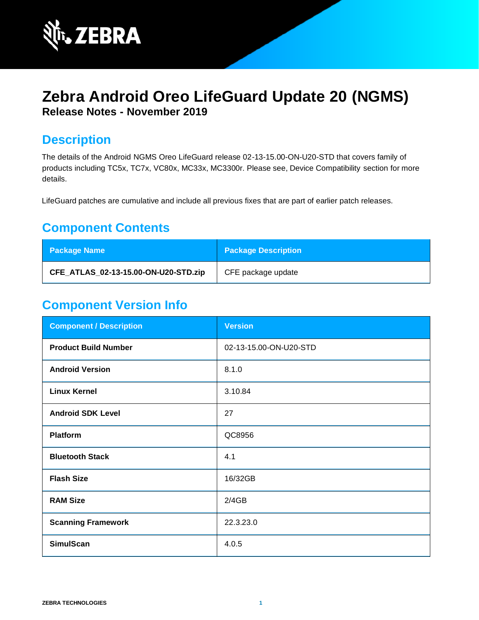

# **Zebra Android Oreo LifeGuard Update 20 (NGMS) Release Notes - November 2019**

## **Description**

The details of the Android NGMS Oreo LifeGuard release 02-13-15.00-ON-U20-STD that covers family of products including TC5x, TC7x, VC80x, MC33x, MC3300r. Please see, Device Compatibility section for more details.

LifeGuard patches are cumulative and include all previous fixes that are part of earlier patch releases.

## **Component Contents**

| <b>Package Name</b>                  | <b>Package Description</b> |
|--------------------------------------|----------------------------|
| CFE_ATLAS_02-13-15.00-ON-U20-STD.zip | CFE package update         |

# **Component Version Info**

| <b>Component / Description</b> | <b>Version</b>         |
|--------------------------------|------------------------|
| <b>Product Build Number</b>    | 02-13-15.00-ON-U20-STD |
| <b>Android Version</b>         | 8.1.0                  |
| <b>Linux Kernel</b>            | 3.10.84                |
| <b>Android SDK Level</b>       | 27                     |
| <b>Platform</b>                | QC8956                 |
| <b>Bluetooth Stack</b>         | 4.1                    |
| <b>Flash Size</b>              | 16/32GB                |
| <b>RAM Size</b>                | 2/4GB                  |
| <b>Scanning Framework</b>      | 22.3.23.0              |
| <b>SimulScan</b>               | 4.0.5                  |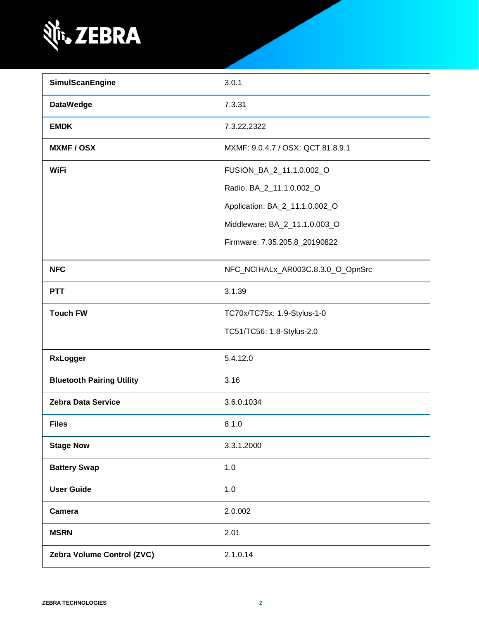

| SimulScanEngine                  | 3.0.1                             |
|----------------------------------|-----------------------------------|
| <b>DataWedge</b>                 | 7.3.31                            |
| <b>EMDK</b>                      | 7.3.22.2322                       |
| <b>MXMF/OSX</b>                  | MXMF: 9.0.4.7 / OSX: QCT.81.8.9.1 |
| <b>WiFi</b>                      | FUSION_BA_2_11.1.0.002_O          |
|                                  | Radio: BA_2_11.1.0.002_O          |
|                                  | Application: BA_2_11.1.0.002_O    |
|                                  | Middleware: BA_2_11.1.0.003_O     |
|                                  | Firmware: 7.35.205.8_20190822     |
| <b>NFC</b>                       | NFC_NCIHALx_AR003C.8.3.0_O_OpnSrc |
| <b>PTT</b>                       | 3.1.39                            |
| <b>Touch FW</b>                  | TC70x/TC75x: 1.9-Stylus-1-0       |
|                                  | TC51/TC56: 1.8-Stylus-2.0         |
| <b>RxLogger</b>                  | 5.4.12.0                          |
| <b>Bluetooth Pairing Utility</b> | 3.16                              |
| <b>Zebra Data Service</b>        | 3.6.0.1034                        |
| <b>Files</b>                     | 8.1.0                             |
| <b>Stage Now</b>                 | 3.3.1.2000                        |
| <b>Battery Swap</b>              | 1.0                               |
| <b>User Guide</b>                | 1.0                               |
| Camera                           | 2.0.002                           |
| <b>MSRN</b>                      | 2.01                              |
| Zebra Volume Control (ZVC)       | 2.1.0.14                          |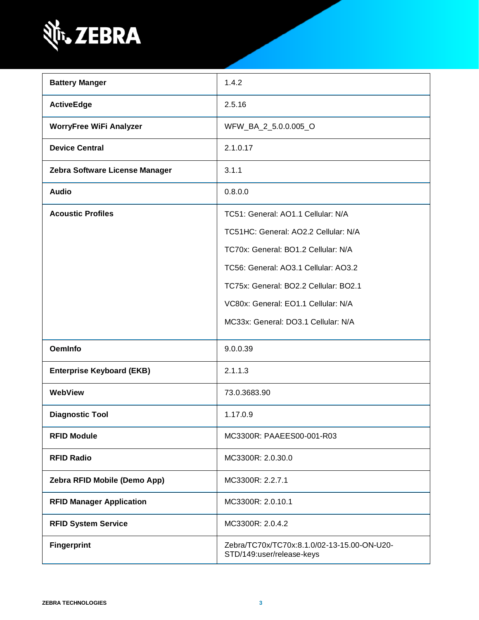

| <b>Battery Manger</b>            | 1.4.2                                                                    |
|----------------------------------|--------------------------------------------------------------------------|
| <b>ActiveEdge</b>                | 2.5.16                                                                   |
| <b>WorryFree WiFi Analyzer</b>   | WFW_BA_2_5.0.0.005_O                                                     |
| <b>Device Central</b>            | 2.1.0.17                                                                 |
| Zebra Software License Manager   | 3.1.1                                                                    |
| <b>Audio</b>                     | 0.8.0.0                                                                  |
| <b>Acoustic Profiles</b>         | TC51: General: AO1.1 Cellular: N/A                                       |
|                                  | TC51HC: General: AO2.2 Cellular: N/A                                     |
|                                  | TC70x: General: BO1.2 Cellular: N/A                                      |
|                                  | TC56: General: AO3.1 Cellular: AO3.2                                     |
|                                  | TC75x: General: BO2.2 Cellular: BO2.1                                    |
|                                  | VC80x: General: EO1.1 Cellular: N/A                                      |
|                                  | MC33x: General: DO3.1 Cellular: N/A                                      |
| <b>OemInfo</b>                   | 9.0.0.39                                                                 |
| <b>Enterprise Keyboard (EKB)</b> | 2.1.1.3                                                                  |
| WebView                          | 73.0.3683.90                                                             |
| <b>Diagnostic Tool</b>           | 1.17.0.9                                                                 |
| <b>RFID Module</b>               | MC3300R: PAAEES00-001-R03                                                |
| <b>RFID Radio</b>                | MC3300R: 2.0.30.0                                                        |
| Zebra RFID Mobile (Demo App)     | MC3300R: 2.2.7.1                                                         |
| <b>RFID Manager Application</b>  | MC3300R: 2.0.10.1                                                        |
| <b>RFID System Service</b>       | MC3300R: 2.0.4.2                                                         |
| <b>Fingerprint</b>               | Zebra/TC70x/TC70x:8.1.0/02-13-15.00-ON-U20-<br>STD/149:user/release-keys |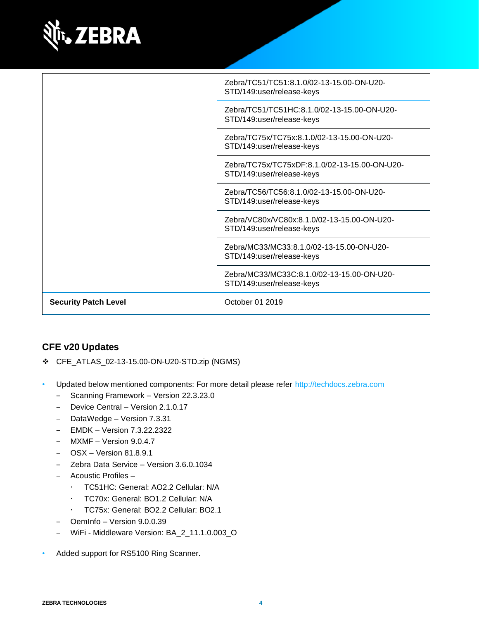

|                             | Zebra/TC51/TC51:8.1.0/02-13-15.00-ON-U20-<br>STD/149:user/release-keys     |
|-----------------------------|----------------------------------------------------------------------------|
|                             | Zebra/TC51/TC51HC:8.1.0/02-13-15.00-ON-U20-<br>STD/149:user/release-keys   |
|                             | Zebra/TC75x/TC75x:8.1.0/02-13-15.00-ON-U20-<br>STD/149:user/release-keys   |
|                             | Zebra/TC75x/TC75xDF:8.1.0/02-13-15.00-ON-U20-<br>STD/149:user/release-keys |
|                             | Zebra/TC56/TC56:8.1.0/02-13-15.00-ON-U20-<br>STD/149:user/release-keys     |
|                             | Zebra/VC80x/VC80x:8.1.0/02-13-15.00-ON-U20-<br>STD/149:user/release-keys   |
|                             | Zebra/MC33/MC33:8.1.0/02-13-15.00-ON-U20-<br>STD/149:user/release-keys     |
|                             | Zebra/MC33/MC33C:8.1.0/02-13-15.00-ON-U20-<br>STD/149:user/release-keys    |
| <b>Security Patch Level</b> | October 01 2019                                                            |

#### **CFE v20 Updates**

- ❖ CFE\_ATLAS\_02-13-15.00-ON-U20-STD.zip (NGMS)
- Updated below mentioned components: For more detail please refer [http://techdocs.zebra.com](http://techdocs.zebra.com/)
	- Scanning Framework Version 22.3.23.0
	- ‒ Device Central Version 2.1.0.17
	- ‒ DataWedge Version 7.3.31
	- ‒ EMDK Version 7.3.22.2322
	- MXMF Version 9.0.4.7
	- ‒ OSX Version 81.8.9.1
	- ‒ Zebra Data Service Version 3.6.0.1034
	- ‒ Acoustic Profiles
		- TC51HC: General: AO2.2 Cellular: N/A
		- TC70x: General: BO1.2 Cellular: N/A
		- TC75x: General: BO2.2 Cellular: BO2.1
	- OemInfo Version 9.0.0.39
	- ‒ WiFi Middleware Version: BA\_2\_11.1.0.003\_O
- Added support for RS5100 Ring Scanner.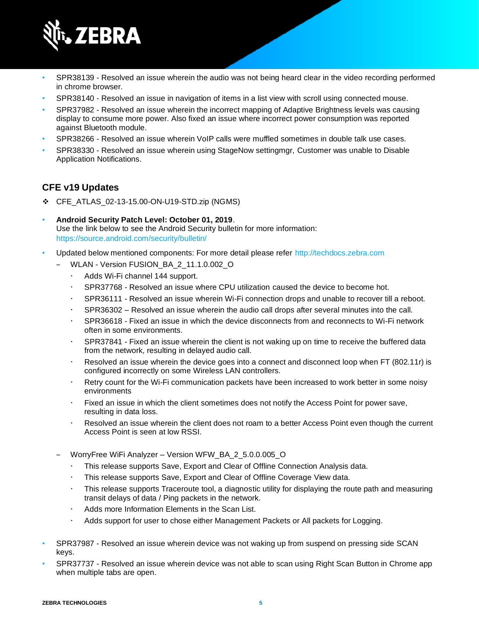

- SPR38139 Resolved an issue wherein the audio was not being heard clear in the video recording performed in chrome browser.
- SPR38140 Resolved an issue in navigation of items in a list view with scroll using connected mouse.
- SPR37982 Resolved an issue wherein the incorrect mapping of Adaptive Brightness levels was causing display to consume more power. Also fixed an issue where incorrect power consumption was reported against Bluetooth module.
- SPR38266 Resolved an issue wherein VoIP calls were muffled sometimes in double talk use cases.
- SPR38330 Resolved an issue wherein using StageNow settingmgr, Customer was unable to Disable Application Notifications.

#### **CFE v19 Updates**

- ❖ CFE\_ATLAS\_02-13-15.00-ON-U19-STD.zip (NGMS)
- **Android Security Patch Level: October 01, 2019**. Use the link below to see the Android Security bulletin for more information: <https://source.android.com/security/bulletin/>
- Updated below mentioned components: For more detail please refer [http://techdocs.zebra.com](http://techdocs.zebra.com/)
	- WLAN Version FUSION\_BA\_2\_11.1.0.002\_O
		- Adds Wi-Fi channel 144 support.
		- SPR37768 Resolved an issue where CPU utilization caused the device to become hot.
		- SPR36111 Resolved an issue wherein Wi-Fi connection drops and unable to recover till a reboot.
		- SPR36302 Resolved an issue wherein the audio call drops after several minutes into the call.
		- SPR36618 Fixed an issue in which the device disconnects from and reconnects to Wi-Fi network often in some environments.
		- SPR37841 Fixed an issue wherein the client is not waking up on time to receive the buffered data from the network, resulting in delayed audio call.
		- Resolved an issue wherein the device goes into a connect and disconnect loop when FT (802.11r) is configured incorrectly on some Wireless LAN controllers.
		- Retry count for the Wi-Fi communication packets have been increased to work better in some noisy environments
		- Fixed an issue in which the client sometimes does not notify the Access Point for power save, resulting in data loss.
		- Resolved an issue wherein the client does not roam to a better Access Point even though the current Access Point is seen at low RSSI.
	- WorryFree WiFi Analyzer Version WFW\_BA\_2\_5.0.0.005\_O
		- This release supports Save, Export and Clear of Offline Connection Analysis data.
		- This release supports Save, Export and Clear of Offline Coverage View data.
		- This release supports Traceroute tool, a diagnostic utility for displaying the route path and measuring transit delays of data / Ping packets in the network.
		- Adds more Information Elements in the Scan List.
		- Adds support for user to chose either Management Packets or All packets for Logging.
- SPR37987 Resolved an issue wherein device was not waking up from suspend on pressing side SCAN keys.
- SPR37737 Resolved an issue wherein device was not able to scan using Right Scan Button in Chrome app when multiple tabs are open.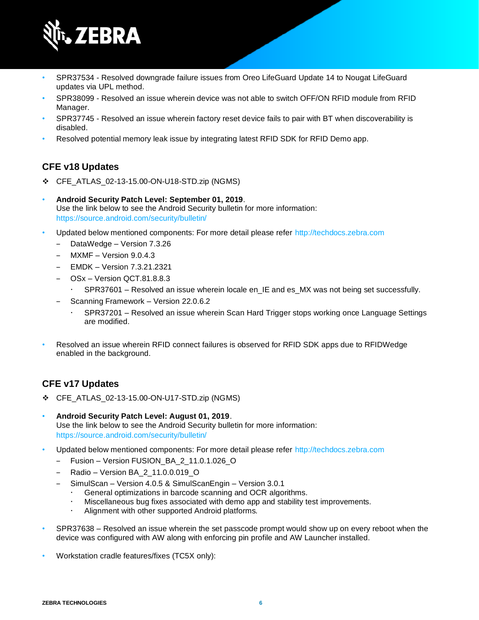

- SPR37534 Resolved downgrade failure issues from Oreo LifeGuard Update 14 to Nougat LifeGuard updates via UPL method.
- SPR38099 Resolved an issue wherein device was not able to switch OFF/ON RFID module from RFID Manager.
- SPR37745 Resolved an issue wherein factory reset device fails to pair with BT when discoverability is disabled.
- Resolved potential memory leak issue by integrating latest RFID SDK for RFID Demo app.

### **CFE v18 Updates**

- ❖ CFE\_ATLAS\_02-13-15.00-ON-U18-STD.zip (NGMS)
- **Android Security Patch Level: September 01, 2019**. Use the link below to see the Android Security bulletin for more information: <https://source.android.com/security/bulletin/>
- Updated below mentioned components: For more detail please refer [http://techdocs.zebra.com](http://techdocs.zebra.com/)
	- ‒ DataWedge Version 7.3.26
	- ‒ MXMF Version 9.0.4.3
	- ‒ EMDK Version 7.3.21.2321
	- ‒ OSx Version QCT.81.8.8.3
		- SPR37601 Resolved an issue wherein locale en IE and es MX was not being set successfully.
	- ‒ Scanning Framework Version 22.0.6.2
		- SPR37201 Resolved an issue wherein Scan Hard Trigger stops working once Language Settings are modified.
- Resolved an issue wherein RFID connect failures is observed for RFID SDK apps due to RFIDWedge enabled in the background.

### **CFE v17 Updates**

- ❖ CFE\_ATLAS\_02-13-15.00-ON-U17-STD.zip (NGMS)
- **Android Security Patch Level: August 01, 2019**. Use the link below to see the Android Security bulletin for more information: <https://source.android.com/security/bulletin/>
- Updated below mentioned components: For more detail please refer [http://techdocs.zebra.com](http://techdocs.zebra.com/)
	- ‒ Fusion Version FUSION\_BA\_2\_11.0.1.026\_O
	- ‒ Radio Version BA\_2\_11.0.0.019\_O
	- ‒ SimulScan Version 4.0.5 & SimulScanEngin Version 3.0.1
		- General optimizations in barcode scanning and OCR algorithms.
		- Miscellaneous bug fixes associated with demo app and stability test improvements.
		- Alignment with other supported Android platforms.
- SPR37638 Resolved an issue wherein the set passcode prompt would show up on every reboot when the device was configured with AW along with enforcing pin profile and AW Launcher installed.
- Workstation cradle features/fixes (TC5X only):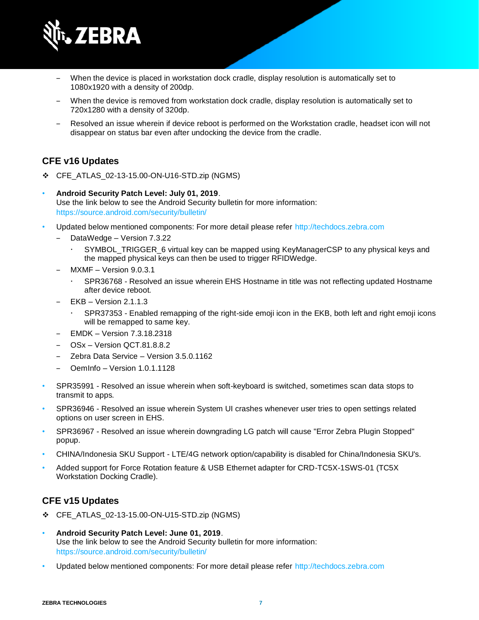

- When the device is placed in workstation dock cradle, display resolution is automatically set to 1080x1920 with a density of 200dp.
- When the device is removed from workstation dock cradle, display resolution is automatically set to 720x1280 with a density of 320dp.
- ‒ Resolved an issue wherein if device reboot is performed on the Workstation cradle, headset icon will not disappear on status bar even after undocking the device from the cradle.

#### **CFE v16 Updates**

- ❖ CFE\_ATLAS\_02-13-15.00-ON-U16-STD.zip (NGMS)
- **Android Security Patch Level: July 01, 2019**. Use the link below to see the Android Security bulletin for more information: <https://source.android.com/security/bulletin/>
- Updated below mentioned components: For more detail please refer [http://techdocs.zebra.com](http://techdocs.zebra.com/)
	- ‒ DataWedge Version 7.3.22
		- SYMBOL\_TRIGGER\_6 virtual key can be mapped using KeyManagerCSP to any physical keys and the mapped physical keys can then be used to trigger RFIDWedge.
	- MXMF Version 9.0.3.1
		- SPR36768 Resolved an issue wherein EHS Hostname in title was not reflecting updated Hostname after device reboot.
	- EKB Version 2.1.1.3
		- SPR37353 Enabled remapping of the right-side emoji icon in the EKB, both left and right emoji icons will be remapped to same key.
	- ‒ EMDK Version 7.3.18.2318
	- ‒ OSx Version QCT.81.8.8.2
	- ‒ Zebra Data Service Version 3.5.0.1162
	- ‒ OemInfo Version 1.0.1.1128
- SPR35991 Resolved an issue wherein when soft-keyboard is switched, sometimes scan data stops to transmit to apps.
- SPR36946 Resolved an issue wherein System UI crashes whenever user tries to open settings related options on user screen in EHS.
- SPR36967 Resolved an issue wherein downgrading LG patch will cause "Error Zebra Plugin Stopped" popup.
- CHINA/Indonesia SKU Support LTE/4G network option/capability is disabled for China/Indonesia SKU's.
- Added support for Force Rotation feature & USB Ethernet adapter for CRD-TC5X-1SWS-01 (TC5X Workstation Docking Cradle).

#### **CFE v15 Updates**

- ❖ CFE\_ATLAS\_02-13-15.00-ON-U15-STD.zip (NGMS)
- **Android Security Patch Level: June 01, 2019**. Use the link below to see the Android Security bulletin for more information: <https://source.android.com/security/bulletin/>
- Updated below mentioned components: For more detail please refer [http://techdocs.zebra.com](http://techdocs.zebra.com/)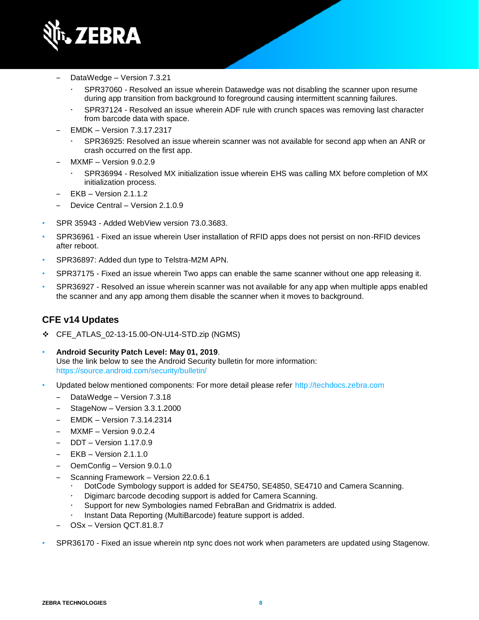

- ‒ DataWedge Version 7.3.21
	- SPR37060 Resolved an issue wherein Datawedge was not disabling the scanner upon resume during app transition from background to foreground causing intermittent scanning failures.
	- SPR37124 Resolved an issue wherein ADF rule with crunch spaces was removing last character from barcode data with space.
- ‒ EMDK Version 7.3.17.2317
	- SPR36925: Resolved an issue wherein scanner was not available for second app when an ANR or crash occurred on the first app.
- ‒ MXMF Version 9.0.2.9
	- SPR36994 Resolved MX initialization issue wherein EHS was calling MX before completion of MX initialization process.
- ‒ EKB Version 2.1.1.2
- Device Central Version 2.1.0.9
- SPR 35943 Added WebView version 73.0.3683.
- SPR36961 Fixed an issue wherein User installation of RFID apps does not persist on non-RFID devices after reboot.
- SPR36897: Added dun type to Telstra-M2M APN.
- SPR37175 Fixed an issue wherein Two apps can enable the same scanner without one app releasing it.
- SPR36927 Resolved an issue wherein scanner was not available for any app when multiple apps enabled the scanner and any app among them disable the scanner when it moves to background.

#### **CFE v14 Updates**

- ❖ CFE\_ATLAS\_02-13-15.00-ON-U14-STD.zip (NGMS)
- **Android Security Patch Level: May 01, 2019**. Use the link below to see the Android Security bulletin for more information: <https://source.android.com/security/bulletin/>
- Updated below mentioned components: For more detail please refer [http://techdocs.zebra.com](http://techdocs.zebra.com/)
	- ‒ DataWedge Version 7.3.18
	- ‒ StageNow Version 3.3.1.2000
	- ‒ EMDK Version 7.3.14.2314
	- ‒ MXMF Version 9.0.2.4
	- ‒ DDT Version 1.17.0.9
	- $EKB Version 2.1.1.0$
	- ‒ OemConfig Version 9.0.1.0
	- ‒ Scanning Framework Version 22.0.6.1
		- DotCode Symbology support is added for SE4750, SE4850, SE4710 and Camera Scanning.
		- Digimarc barcode decoding support is added for Camera Scanning.
		- Support for new Symbologies named FebraBan and Gridmatrix is added.
		- Instant Data Reporting (MultiBarcode) feature support is added.
	- ‒ OSx Version QCT.81.8.7
- SPR36170 Fixed an issue wherein ntp sync does not work when parameters are updated using Stagenow.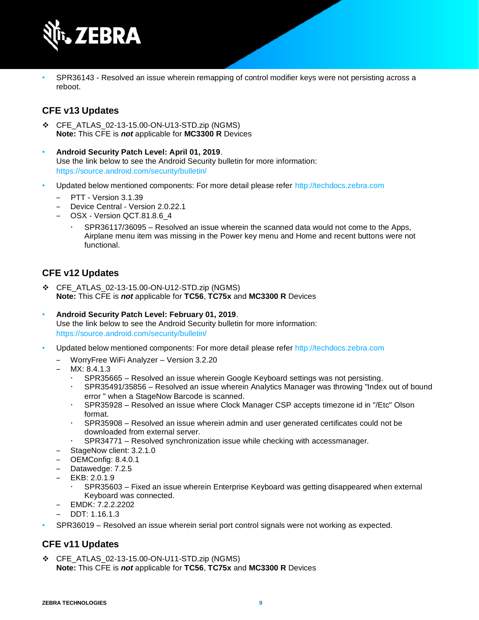

• SPR36143 - Resolved an issue wherein remapping of control modifier keys were not persisting across a reboot.

#### **CFE v13 Updates**

- ❖ CFE\_ATLAS\_02-13-15.00-ON-U13-STD.zip (NGMS) **Note:** This CFE is *not* applicable for **MC3300 R** Devices
- **Android Security Patch Level: April 01, 2019**. Use the link below to see the Android Security bulletin for more information: <https://source.android.com/security/bulletin/>
- Updated below mentioned components: For more detail please refer [http://techdocs.zebra.com](http://techdocs.zebra.com/)
	- PTT Version 3.1.39
	- ‒ Device Central Version 2.0.22.1
	- OSX Version QCT.81.8.6\_4
		- SPR36117/36095 Resolved an issue wherein the scanned data would not come to the Apps, Airplane menu item was missing in the Power key menu and Home and recent buttons were not functional.

#### **CFE v12 Updates**

- ❖ CFE\_ATLAS\_02-13-15.00-ON-U12-STD.zip (NGMS) **Note:** This CFE is *not* applicable for **TC56**, **TC75x** and **MC3300 R** Devices
- **Android Security Patch Level: February 01, 2019**. Use the link below to see the Android Security bulletin for more information: <https://source.android.com/security/bulletin/>
- Updated below mentioned components: For more detail please refe[r http://techdocs.zebra.com](http://techdocs.zebra.com/)
	- ‒ WorryFree WiFi Analyzer Version 3.2.20
	- MX: 8.4.1.3
		- SPR35665 Resolved an issue wherein Google Keyboard settings was not persisting.
		- SPR35491/35856 Resolved an issue wherein Analytics Manager was throwing "Index out of bound error " when a StageNow Barcode is scanned.
		- SPR35928 Resolved an issue where Clock Manager CSP accepts timezone id in "/Etc" Olson format.
		- SPR35908 Resolved an issue wherein admin and user generated certificates could not be downloaded from external server.
		- SPR34771 Resolved synchronization issue while checking with accessmanager.
	- StageNow client: 3.2.1.0
	- ‒ OEMConfig: 8.4.0.1
	- ‒ Datawedge: 7.2.5
	- ‒ EKB: 2.0.1.9
		- SPR35603 Fixed an issue wherein Enterprise Keyboard was getting disappeared when external Keyboard was connected.
	- ‒ EMDK: 7.2.2.2202
	- $-$  DDT: 1.16.1.3
- SPR36019 Resolved an issue wherein serial port control signals were not working as expected.

#### **CFE v11 Updates**

❖ CFE\_ATLAS\_02-13-15.00-ON-U11-STD.zip (NGMS) **Note:** This CFE is *not* applicable for **TC56**, **TC75x** and **MC3300 R** Devices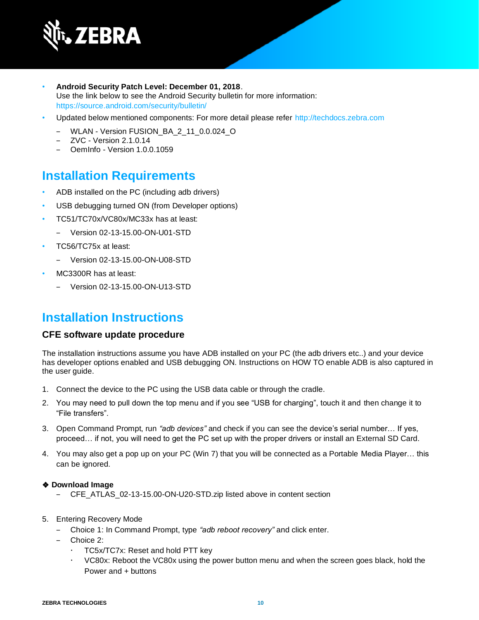

- **Android Security Patch Level: December 01, 2018**. Use the link below to see the Android Security bulletin for more information: <https://source.android.com/security/bulletin/>
- Updated below mentioned components: For more detail please refer [http://techdocs.zebra.com](http://techdocs.zebra.com/)
	- ‒ WLAN Version FUSION\_BA\_2\_11\_0.0.024\_O
	- ‒ ZVC Version 2.1.0.14
	- ‒ OemInfo Version 1.0.0.1059

### **Installation Requirements**

- ADB installed on the PC (including adb drivers)
- USB debugging turned ON (from Developer options)
- TC51/TC70x/VC80x/MC33x has at least:
	- ‒ Version 02-13-15.00-ON-U01-STD
- TC56/TC75x at least:
	- ‒ Version 02-13-15.00-ON-U08-STD
- MC3300R has at least:
	- ‒ Version 02-13-15.00-ON-U13-STD

### **Installation Instructions**

#### **CFE software update procedure**

The installation instructions assume you have ADB installed on your PC (the adb drivers etc..) and your device has developer options enabled and USB debugging ON. Instructions on HOW TO enable ADB is also captured in the user guide.

- 1. Connect the device to the PC using the USB data cable or through the cradle.
- 2. You may need to pull down the top menu and if you see "USB for charging", touch it and then change it to "File transfers".
- 3. Open Command Prompt, run *"adb devices"* and check if you can see the device's serial number… If yes, proceed… if not, you will need to get the PC set up with the proper drivers or install an External SD Card.
- 4. You may also get a pop up on your PC (Win 7) that you will be connected as a Portable Media Player… this can be ignored.

#### ❖ **Download Image**

- ‒ CFE\_ATLAS\_02-13-15.00-ON-U20-STD.zip listed above in content section
- 5. Entering Recovery Mode
	- ‒ Choice 1: In Command Prompt, type *"adb reboot recovery"* and click enter.
	- ‒ Choice 2:
		- TC5x/TC7x: Reset and hold PTT key
		- VC80x: Reboot the VC80x using the power button menu and when the screen goes black, hold the Power and + buttons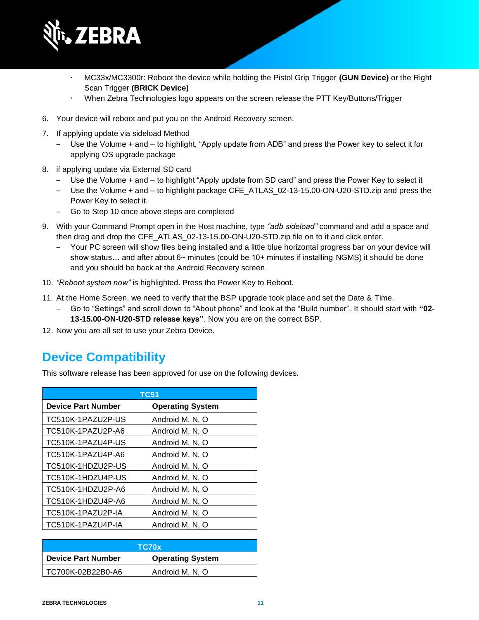

- MC33x/MC3300r: Reboot the device while holding the Pistol Grip Trigger **(GUN Device)** or the Right Scan Trigger **(BRICK Device)**
- When Zebra Technologies logo appears on the screen release the PTT Key/Buttons/Trigger
- 6. Your device will reboot and put you on the Android Recovery screen.
- 7. If applying update via sideload Method
	- ‒ Use the Volume + and to highlight, "Apply update from ADB" and press the Power key to select it for applying OS upgrade package
- 8. if applying update via External SD card
	- ‒ Use the Volume + and to highlight "Apply update from SD card" and press the Power Key to select it
	- ‒ Use the Volume + and to highlight package CFE\_ATLAS\_02-13-15.00-ON-U20-STD.zip and press the Power Key to select it.
	- ‒ Go to Step 10 once above steps are completed
- 9. With your Command Prompt open in the Host machine, type *"adb sideload"* command and add a space and then drag and drop the CFE\_ATLAS\_02-13-15.00-ON-U20-STD.zip file on to it and click enter.
	- Your PC screen will show files being installed and a little blue horizontal progress bar on your device will show status... and after about 6~ minutes (could be 10+ minutes if installing NGMS) it should be done and you should be back at the Android Recovery screen.
- 10. *"Reboot system now"* is highlighted. Press the Power Key to Reboot.
- 11. At the Home Screen, we need to verify that the BSP upgrade took place and set the Date & Time.
	- ‒ Go to "Settings" and scroll down to "About phone" and look at the "Build number". It should start with **"02-**
		- **13-15.00-ON-U20-STD release keys"**. Now you are on the correct BSP.
- 12. Now you are all set to use your Zebra Device.

## **Device Compatibility**

This software release has been approved for use on the following devices.

| <b>TC51</b>               |                         |
|---------------------------|-------------------------|
| <b>Device Part Number</b> | <b>Operating System</b> |
| TC510K-1PAZU2P-US         | Android M, N, O         |
| TC510K-1PAZU2P-A6         | Android M, N, O         |
| TC510K-1PAZU4P-US         | Android M, N, O         |
| TC510K-1PAZU4P-A6         | Android M, N, O         |
| TC510K-1HDZU2P-US         | Android M, N, O         |
| TC510K-1HDZU4P-US         | Android M, N, O         |
| TC510K-1HDZU2P-A6         | Android M, N, O         |
| TC510K-1HDZU4P-A6         | Android M, N, O         |
| TC510K-1PAZU2P-IA         | Android M, N, O         |
| TC510K-1PAZU4P-IA         | Android M. N. O         |

| TC70x                     |                         |
|---------------------------|-------------------------|
| <b>Device Part Number</b> | <b>Operating System</b> |
| TC700K-02B22B0-A6         | Android M, N, O         |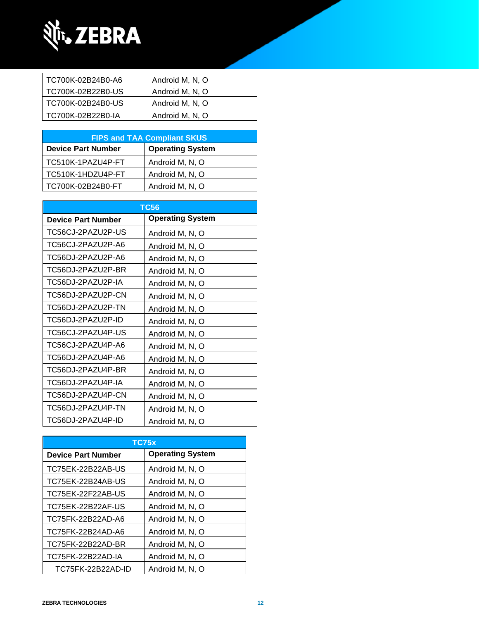

| TC700K-02B24B0-A6 | Android M, N, O |
|-------------------|-----------------|
| TC700K-02B22B0-US | Android M, N, O |
| TC700K-02B24B0-US | Android M, N, O |
| TC700K-02B22B0-IA | Android M, N, O |
|                   |                 |

| <b>FIPS and TAA Compliant SKUS</b> |                         |  |
|------------------------------------|-------------------------|--|
| <b>Device Part Number</b>          | <b>Operating System</b> |  |
| TC510K-1PAZU4P-FT                  | Android M, N, O         |  |
| TC510K-1HDZU4P-FT                  | Android M, N, O         |  |
| TC700K-02B24B0-FT                  | Android M, N, O         |  |

| <b>TC56</b>               |                         |
|---------------------------|-------------------------|
| <b>Device Part Number</b> | <b>Operating System</b> |
| TC56CJ-2PAZU2P-US         | Android M, N, O         |
| TC56CJ-2PAZU2P-A6         | Android M, N, O         |
| TC56DJ-2PAZU2P-A6         | Android M, N, O         |
| TC56DJ-2PAZU2P-BR         | Android M, N, O         |
| TC56DJ-2PAZU2P-IA         | Android M, N, O         |
| TC56DJ-2PAZU2P-CN         | Android M, N, O         |
| TC56DJ-2PAZU2P-TN         | Android M, N, O         |
| TC56DJ-2PAZU2P-ID         | Android M, N, O         |
| TC56CJ-2PAZU4P-US         | Android M, N, O         |
| TC56CJ-2PAZU4P-A6         | Android M, N, O         |
| TC56DJ-2PAZU4P-A6         | Android M, N, O         |
| TC56DJ-2PAZU4P-BR         | Android M, N, O         |
| TC56DJ-2PAZU4P-IA         | Android M, N, O         |
| TC56DJ-2PAZU4P-CN         | Android M, N, O         |
| TC56DJ-2PAZU4P-TN         | Android M, N, O         |
| TC56DJ-2PAZU4P-ID         | Android M, N, O         |

| TC75x                     |                         |
|---------------------------|-------------------------|
| <b>Device Part Number</b> | <b>Operating System</b> |
| TC75EK-22B22AB-US         | Android M, N, O         |
| TC75EK-22B24AB-US         | Android M, N, O         |
| TC75EK-22F22AB-US         | Android M, N, O         |
| TC75EK-22B22AF-US         | Android M, N, O         |
| TC75FK-22B22AD-A6         | Android M, N, O         |
| TC75FK-22B24AD-A6         | Android M, N, O         |
| TC75FK-22B22AD-BR         | Android M, N, O         |
| TC75FK-22B22AD-IA         | Android M, N, O         |
| TC75FK-22B22AD-ID         | Android M, N, O         |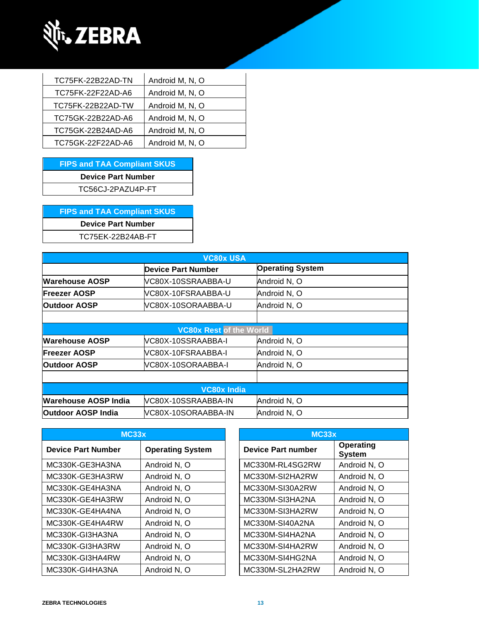

| TC75FK-22B22AD-TN | Android M, N, O |
|-------------------|-----------------|
| TC75FK-22F22AD-A6 | Android M, N, O |
| TC75FK-22B22AD-TW | Android M, N, O |
| TC75GK-22B22AD-A6 | Android M, N, O |
| TC75GK-22B24AD-A6 | Android M, N, O |
| TC75GK-22F22AD-A6 | Android M, N, O |

**FIPS and TAA Compliant SKUS Device Part Number** TC56CJ-2PAZU4P-FT

**FIPS and TAA Compliant SKUS Device Part Number** TC75EK-22B24AB-FT

| <b>VC80x USA</b>            |                                |                         |  |
|-----------------------------|--------------------------------|-------------------------|--|
|                             | Device Part Number             | <b>Operating System</b> |  |
| <b>Warehouse AOSP</b>       | VC80X-10SSRAABBA-U             | Android N, O            |  |
| <b>Freezer AOSP</b>         | VC80X-10FSRAABBA-U             | Android N, O            |  |
| <b>Outdoor AOSP</b>         | VC80X-10SORAABBA-U             | Android N, O            |  |
|                             |                                |                         |  |
|                             | <b>VC80x Rest of the World</b> |                         |  |
| <b>Warehouse AOSP</b>       | VC80X-10SSRAABBA-I             | Android N, O            |  |
| <b>Freezer AOSP</b>         | VC80X-10FSRAABBA-I             | Android N, O            |  |
| <b>Outdoor AOSP</b>         | VC80X-10SORAABBA-I             | Android N, O            |  |
|                             |                                |                         |  |
|                             | <b>VC80x India</b>             |                         |  |
| <b>Warehouse AOSP India</b> | VC80X-10SSRAABBA-IN            | Android N, O            |  |
| <b>Outdoor AOSP India</b>   | VC80X-10SORAABBA-IN            | Android N, O            |  |

| MC33x                     |                         | MC33x                     |                            |
|---------------------------|-------------------------|---------------------------|----------------------------|
| <b>Device Part Number</b> | <b>Operating System</b> | <b>Device Part number</b> | Operating<br><b>System</b> |
| MC330K-GE3HA3NA           | Android N, O            | MC330M-RL4SG2RW           | Android N, O               |
| MC330K-GE3HA3RW           | Android N, O            | MC330M-SI2HA2RW           | Android N, O               |
| MC330K-GE4HA3NA           | Android N, O            | MC330M-SI30A2RW           | Android N, O               |
| MC330K-GE4HA3RW           | Android N, O            | MC330M-SI3HA2NA           | Android N, O               |
| MC330K-GE4HA4NA           | Android N, O            | MC330M-SI3HA2RW           | Android N, O               |
| MC330K-GE4HA4RW           | Android N, O            | MC330M-SI40A2NA           | Android N, O               |
| MC330K-GI3HA3NA           | Android N, O            | MC330M-SI4HA2NA           | Android N, O               |
| MC330K-GI3HA3RW           | Android N, O            | MC330M-SI4HA2RW           | Android N, O               |
| MC330K-GI3HA4RW           | Android N, O            | MC330M-SI4HG2NA           | Android N, O               |
| MC330K-GI4HA3NA           | Android N, O            | MC330M-SL2HA2RW           | Android N, O               |

| MC33x                     |                            |  |  |
|---------------------------|----------------------------|--|--|
| <b>Device Part number</b> | Operating<br><b>System</b> |  |  |
| MC330M-RL4SG2RW           | Android N, O               |  |  |
| MC330M-SI2HA2RW           | Android N, O               |  |  |
| MC330M-SI30A2RW           | Android N, O               |  |  |
| MC330M-SI3HA2NA           | Android N, O               |  |  |
| MC330M-SI3HA2RW           | Android N, O               |  |  |
| MC330M-SI40A2NA           | Android N, O               |  |  |
| MC330M-SI4HA2NA           | Android N, O               |  |  |
| MC330M-SI4HA2RW           | Android N, O               |  |  |
| MC330M-SI4HG2NA           | Android N, O               |  |  |
| MC330M-SL2HA2RW           | Android N, O               |  |  |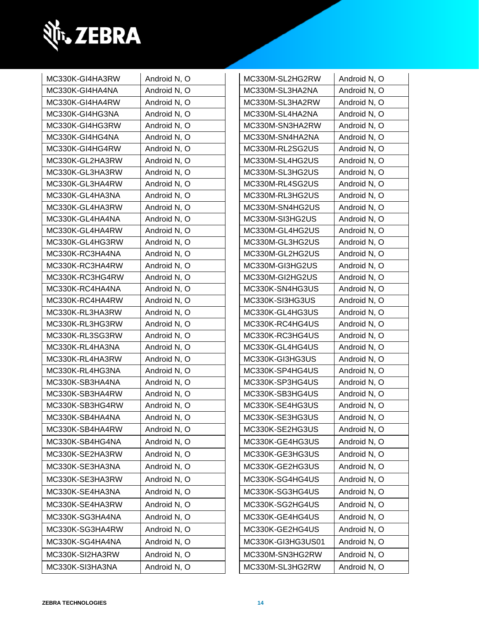

| MC330K-GI4HA3RW | Android N, O | MC330M-SL2HG2RW   | Android N, O |
|-----------------|--------------|-------------------|--------------|
| MC330K-GI4HA4NA | Android N, O | MC330M-SL3HA2NA   | Android N, O |
| MC330K-GI4HA4RW | Android N, O | MC330M-SL3HA2RW   | Android N, O |
| MC330K-GI4HG3NA | Android N, O | MC330M-SL4HA2NA   | Android N, O |
| MC330K-GI4HG3RW | Android N, O | MC330M-SN3HA2RW   | Android N, O |
| MC330K-GI4HG4NA | Android N, O | MC330M-SN4HA2NA   | Android N, O |
| MC330K-GI4HG4RW | Android N, O | MC330M-RL2SG2US   | Android N, O |
| MC330K-GL2HA3RW | Android N, O | MC330M-SL4HG2US   | Android N, O |
| MC330K-GL3HA3RW | Android N, O | MC330M-SL3HG2US   | Android N, O |
| MC330K-GL3HA4RW | Android N, O | MC330M-RL4SG2US   | Android N, O |
| MC330K-GL4HA3NA | Android N, O | MC330M-RL3HG2US   | Android N, O |
| MC330K-GL4HA3RW | Android N, O | MC330M-SN4HG2US   | Android N, O |
| MC330K-GL4HA4NA | Android N, O | MC330M-SI3HG2US   | Android N, O |
| MC330K-GL4HA4RW | Android N, O | MC330M-GL4HG2US   | Android N, O |
| MC330K-GL4HG3RW | Android N, O | MC330M-GL3HG2US   | Android N, O |
| MC330K-RC3HA4NA | Android N, O | MC330M-GL2HG2US   | Android N, O |
| MC330K-RC3HA4RW | Android N, O | MC330M-GI3HG2US   | Android N, O |
| MC330K-RC3HG4RW | Android N, O | MC330M-GI2HG2US   | Android N, O |
| MC330K-RC4HA4NA | Android N, O | MC330K-SN4HG3US   | Android N, O |
| MC330K-RC4HA4RW | Android N, O | MC330K-SI3HG3US   | Android N, O |
| MC330K-RL3HA3RW | Android N, O | MC330K-GL4HG3US   | Android N, O |
| MC330K-RL3HG3RW | Android N, O | MC330K-RC4HG4US   | Android N, O |
| MC330K-RL3SG3RW | Android N, O | MC330K-RC3HG4US   | Android N, O |
| MC330K-RL4HA3NA | Android N, O | MC330K-GL4HG4US   | Android N, O |
| MC330K-RL4HA3RW | Android N, O | MC330K-GI3HG3US   | Android N, O |
| MC330K-RL4HG3NA | Android N, O | MC330K-SP4HG4US   | Android N, O |
| MC330K-SB3HA4NA | Android N, O | MC330K-SP3HG4US   | Android N, O |
| MC330K-SB3HA4RW | Android N, O | MC330K-SB3HG4US   | Android N, O |
| MC330K-SB3HG4RW | Android N, O | MC330K-SE4HG3US   | Android N, O |
| MC330K-SB4HA4NA | Android N, O | MC330K-SE3HG3US   | Android N, O |
| MC330K-SB4HA4RW | Android N, O | MC330K-SE2HG3US   | Android N, O |
| MC330K-SB4HG4NA | Android N, O | MC330K-GE4HG3US   | Android N, O |
| MC330K-SE2HA3RW | Android N, O | MC330K-GE3HG3US   | Android N, O |
| MC330K-SE3HA3NA | Android N, O | MC330K-GE2HG3US   | Android N, O |
| MC330K-SE3HA3RW | Android N, O | MC330K-SG4HG4US   | Android N, O |
| MC330K-SE4HA3NA | Android N, O | MC330K-SG3HG4US   | Android N, O |
| MC330K-SE4HA3RW | Android N, O | MC330K-SG2HG4US   | Android N, O |
| MC330K-SG3HA4NA | Android N, O | MC330K-GE4HG4US   | Android N, O |
| MC330K-SG3HA4RW | Android N, O | MC330K-GE2HG4US   | Android N, O |
| MC330K-SG4HA4NA | Android N, O | MC330K-GI3HG3US01 | Android N, O |
| MC330K-SI2HA3RW | Android N, O | MC330M-SN3HG2RW   | Android N, O |
| MC330K-SI3HA3NA | Android N, O | MC330M-SL3HG2RW   | Android N, O |
|                 |              |                   |              |

| MC330M-SL2HG2RW<br>Android N, O<br>MC330M-SL3HA2NA<br>Android N, O<br>MC330M-SL3HA2RW<br>Android N, O<br>MC330M-SL4HA2NA<br>Android N, O<br>MC330M-SN3HA2RW<br>Android N, O<br>MC330M-SN4HA2NA<br>Android N, O<br>MC330M-RL2SG2US<br>Android N, O<br>MC330M-SL4HG2US<br>Android N, O<br>MC330M-SL3HG2US<br>Android N, O<br>MC330M-RL4SG2US<br>Android N, O<br>MC330M-RL3HG2US<br>Android N, O<br>MC330M-SN4HG2US<br>Android N, O<br>MC330M-SI3HG2US<br>Android N, O<br>MC330M-GL4HG2US<br>Android N, O<br>MC330M-GL3HG2US<br>Android N, O<br>MC330M-GL2HG2US<br>Android N, O<br>MC330M-GI3HG2US<br>Android N, O<br>MC330M-GI2HG2US<br>Android N, O<br>MC330K-SN4HG3US<br>Android N, O<br>MC330K-SI3HG3US<br>Android N, O |
|--------------------------------------------------------------------------------------------------------------------------------------------------------------------------------------------------------------------------------------------------------------------------------------------------------------------------------------------------------------------------------------------------------------------------------------------------------------------------------------------------------------------------------------------------------------------------------------------------------------------------------------------------------------------------------------------------------------------------|
|                                                                                                                                                                                                                                                                                                                                                                                                                                                                                                                                                                                                                                                                                                                          |
|                                                                                                                                                                                                                                                                                                                                                                                                                                                                                                                                                                                                                                                                                                                          |
|                                                                                                                                                                                                                                                                                                                                                                                                                                                                                                                                                                                                                                                                                                                          |
|                                                                                                                                                                                                                                                                                                                                                                                                                                                                                                                                                                                                                                                                                                                          |
|                                                                                                                                                                                                                                                                                                                                                                                                                                                                                                                                                                                                                                                                                                                          |
|                                                                                                                                                                                                                                                                                                                                                                                                                                                                                                                                                                                                                                                                                                                          |
|                                                                                                                                                                                                                                                                                                                                                                                                                                                                                                                                                                                                                                                                                                                          |
|                                                                                                                                                                                                                                                                                                                                                                                                                                                                                                                                                                                                                                                                                                                          |
|                                                                                                                                                                                                                                                                                                                                                                                                                                                                                                                                                                                                                                                                                                                          |
|                                                                                                                                                                                                                                                                                                                                                                                                                                                                                                                                                                                                                                                                                                                          |
|                                                                                                                                                                                                                                                                                                                                                                                                                                                                                                                                                                                                                                                                                                                          |
|                                                                                                                                                                                                                                                                                                                                                                                                                                                                                                                                                                                                                                                                                                                          |
|                                                                                                                                                                                                                                                                                                                                                                                                                                                                                                                                                                                                                                                                                                                          |
|                                                                                                                                                                                                                                                                                                                                                                                                                                                                                                                                                                                                                                                                                                                          |
|                                                                                                                                                                                                                                                                                                                                                                                                                                                                                                                                                                                                                                                                                                                          |
|                                                                                                                                                                                                                                                                                                                                                                                                                                                                                                                                                                                                                                                                                                                          |
|                                                                                                                                                                                                                                                                                                                                                                                                                                                                                                                                                                                                                                                                                                                          |
|                                                                                                                                                                                                                                                                                                                                                                                                                                                                                                                                                                                                                                                                                                                          |
|                                                                                                                                                                                                                                                                                                                                                                                                                                                                                                                                                                                                                                                                                                                          |
| MC330K-GL4HG3US<br>Android N, O                                                                                                                                                                                                                                                                                                                                                                                                                                                                                                                                                                                                                                                                                          |
| MC330K-RC4HG4US<br>Android N, O                                                                                                                                                                                                                                                                                                                                                                                                                                                                                                                                                                                                                                                                                          |
| MC330K-RC3HG4US<br>Android N, O                                                                                                                                                                                                                                                                                                                                                                                                                                                                                                                                                                                                                                                                                          |
| MC330K-GL4HG4US<br>Android N, O                                                                                                                                                                                                                                                                                                                                                                                                                                                                                                                                                                                                                                                                                          |
| MC330K-GI3HG3US<br>Android N, O                                                                                                                                                                                                                                                                                                                                                                                                                                                                                                                                                                                                                                                                                          |
| Android N, O<br>MC330K-SP4HG4US                                                                                                                                                                                                                                                                                                                                                                                                                                                                                                                                                                                                                                                                                          |
| MC330K-SP3HG4US<br>Android N, O                                                                                                                                                                                                                                                                                                                                                                                                                                                                                                                                                                                                                                                                                          |
| MC330K-SB3HG4US<br>Android N, O                                                                                                                                                                                                                                                                                                                                                                                                                                                                                                                                                                                                                                                                                          |
| MC330K-SE4HG3US<br>Android N, O                                                                                                                                                                                                                                                                                                                                                                                                                                                                                                                                                                                                                                                                                          |
| MC330K-SE3HG3US<br>Android N, O                                                                                                                                                                                                                                                                                                                                                                                                                                                                                                                                                                                                                                                                                          |
| MC330K-SE2HG3US<br>Android N, O                                                                                                                                                                                                                                                                                                                                                                                                                                                                                                                                                                                                                                                                                          |
| Android N, O<br>MC330K-GE4HG3US                                                                                                                                                                                                                                                                                                                                                                                                                                                                                                                                                                                                                                                                                          |
| MC330K-GE3HG3US<br>Android N, O                                                                                                                                                                                                                                                                                                                                                                                                                                                                                                                                                                                                                                                                                          |
| MC330K-GE2HG3US<br>Android N, O                                                                                                                                                                                                                                                                                                                                                                                                                                                                                                                                                                                                                                                                                          |
| Android N, O<br>MC330K-SG4HG4US                                                                                                                                                                                                                                                                                                                                                                                                                                                                                                                                                                                                                                                                                          |
| MC330K-SG3HG4US<br>Android N, O                                                                                                                                                                                                                                                                                                                                                                                                                                                                                                                                                                                                                                                                                          |
| MC330K-SG2HG4US<br>Android N, O                                                                                                                                                                                                                                                                                                                                                                                                                                                                                                                                                                                                                                                                                          |
| MC330K-GE4HG4US<br>Android N, O                                                                                                                                                                                                                                                                                                                                                                                                                                                                                                                                                                                                                                                                                          |
| MC330K-GE2HG4US<br>Android N, O                                                                                                                                                                                                                                                                                                                                                                                                                                                                                                                                                                                                                                                                                          |
| MC330K-GI3HG3US01<br>Android N, O                                                                                                                                                                                                                                                                                                                                                                                                                                                                                                                                                                                                                                                                                        |
| Android N, O<br>MC330M-SN3HG2RW                                                                                                                                                                                                                                                                                                                                                                                                                                                                                                                                                                                                                                                                                          |
| MC330M-SL3HG2RW<br>Android N, O                                                                                                                                                                                                                                                                                                                                                                                                                                                                                                                                                                                                                                                                                          |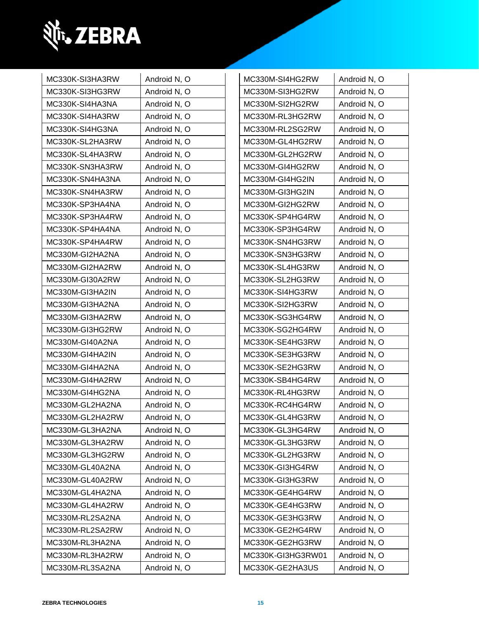

| MC330K-SI3HA3RW | Android N, O | MC330M-SI4HG2RW   | Android N, O |
|-----------------|--------------|-------------------|--------------|
| MC330K-SI3HG3RW | Android N, O | MC330M-SI3HG2RW   | Android N, O |
| MC330K-SI4HA3NA | Android N, O | MC330M-SI2HG2RW   | Android N, O |
| MC330K-SI4HA3RW | Android N, O | MC330M-RL3HG2RW   | Android N, O |
| MC330K-SI4HG3NA | Android N, O | MC330M-RL2SG2RW   | Android N, O |
| MC330K-SL2HA3RW | Android N, O | MC330M-GL4HG2RW   | Android N, O |
| MC330K-SL4HA3RW | Android N, O | MC330M-GL2HG2RW   | Android N, O |
| MC330K-SN3HA3RW | Android N, O | MC330M-GI4HG2RW   | Android N, O |
| MC330K-SN4HA3NA | Android N, O | MC330M-GI4HG2IN   | Android N, O |
| MC330K-SN4HA3RW | Android N, O | MC330M-GI3HG2IN   | Android N, O |
| MC330K-SP3HA4NA | Android N, O | MC330M-GI2HG2RW   | Android N, O |
| MC330K-SP3HA4RW | Android N, O | MC330K-SP4HG4RW   | Android N, O |
| MC330K-SP4HA4NA | Android N, O | MC330K-SP3HG4RW   | Android N, O |
| MC330K-SP4HA4RW | Android N, O | MC330K-SN4HG3RW   | Android N, O |
| MC330M-GI2HA2NA | Android N, O | MC330K-SN3HG3RW   | Android N, O |
| MC330M-GI2HA2RW | Android N, O | MC330K-SL4HG3RW   | Android N, O |
| MC330M-GI30A2RW | Android N, O | MC330K-SL2HG3RW   | Android N, O |
| MC330M-GI3HA2IN | Android N, O | MC330K-SI4HG3RW   | Android N, O |
| MC330M-GI3HA2NA | Android N, O | MC330K-SI2HG3RW   | Android N, O |
| MC330M-GI3HA2RW | Android N, O | MC330K-SG3HG4RW   | Android N, O |
| MC330M-GI3HG2RW | Android N, O | MC330K-SG2HG4RW   | Android N, O |
| MC330M-GI40A2NA | Android N, O | MC330K-SE4HG3RW   | Android N, O |
| MC330M-GI4HA2IN | Android N, O | MC330K-SE3HG3RW   | Android N, O |
| MC330M-GI4HA2NA | Android N, O | MC330K-SE2HG3RW   | Android N, O |
| MC330M-GI4HA2RW | Android N, O | MC330K-SB4HG4RW   | Android N, O |
| MC330M-GI4HG2NA | Android N, O | MC330K-RL4HG3RW   | Android N, O |
| MC330M-GL2HA2NA | Android N, O | MC330K-RC4HG4RW   | Android N, O |
| MC330M-GL2HA2RW | Android N, O | MC330K-GL4HG3RW   | Android N, O |
| MC330M-GL3HA2NA | Android N, O | MC330K-GL3HG4RW   | Android N, O |
| MC330M-GL3HA2RW | Android N, O | MC330K-GL3HG3RW   | Android N, O |
| MC330M-GL3HG2RW | Android N, O | MC330K-GL2HG3RW   | Android N, O |
| MC330M-GL40A2NA | Android N, O | MC330K-GI3HG4RW   | Android N, O |
| MC330M-GL40A2RW | Android N, O | MC330K-GI3HG3RW   | Android N, O |
| MC330M-GL4HA2NA | Android N, O | MC330K-GE4HG4RW   | Android N, O |
| MC330M-GL4HA2RW | Android N, O | MC330K-GE4HG3RW   | Android N, O |
| MC330M-RL2SA2NA | Android N, O | MC330K-GE3HG3RW   | Android N, O |
| MC330M-RL2SA2RW | Android N, O | MC330K-GE2HG4RW   | Android N, O |
| MC330M-RL3HA2NA | Android N, O | MC330K-GE2HG3RW   | Android N, O |
| MC330M-RL3HA2RW | Android N, O | MC330K-GI3HG3RW01 | Android N, O |
| MC330M-RL3SA2NA | Android N, O | MC330K-GE2HA3US   | Android N, O |